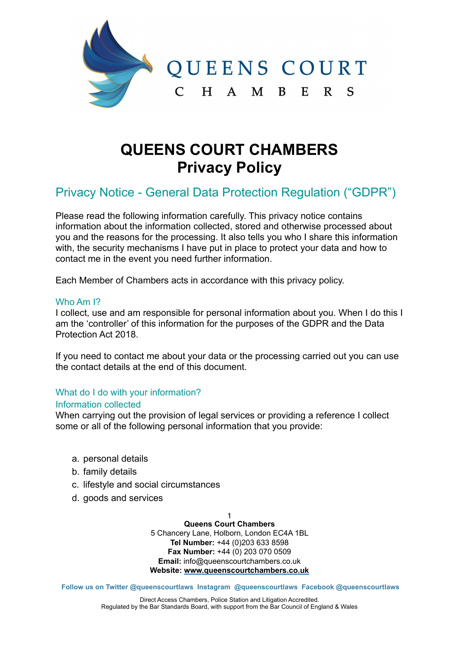

# **QUEENS COURT CHAMBERS Privacy Policy**

# Privacy Notice - General Data Protection Regulation ("GDPR")

Please read the following information carefully. This privacy notice contains information about the information collected, stored and otherwise processed about you and the reasons for the processing. It also tells you who I share this information with, the security mechanisms I have put in place to protect your data and how to contact me in the event you need further information.

Each Member of Chambers acts in accordance with this privacy policy.

# Who Am <sup>12</sup>

I collect, use and am responsible for personal information about you. When I do this I am the 'controller' of this information for the purposes of the GDPR and the Data Protection Act 2018.

If you need to contact me about your data or the processing carried out you can use the contact details at the end of this document.

# What do I do with your information?

## Information collected

When carrying out the provision of legal services or providing a reference I collect some or all of the following personal information that you provide:

- a. personal details
- b. family details
- c. lifestyle and social circumstances
- d. goods and services

1 **Queens Court Chambers** 

5 Chancery Lane, Holborn, London EC4A 1BL **Tel Number:** +44 (0)203 633 8598 **Fax Number:** +44 (0) 203 070 0509 **Email:** info@queenscourtchambers.co.uk **Website: [www.queenscourtchambers.co.uk](http://www.queenscourtchambers.co.uk)**

**Follow us on Twitter @queenscourtlaws Instagram @queenscourtlaws Facebook @queenscourtlaws** 

Direct Access Chambers, Police Station and Litigation Accredited. Regulated by the Bar Standards Board, with support from the Bar Council of England & Wales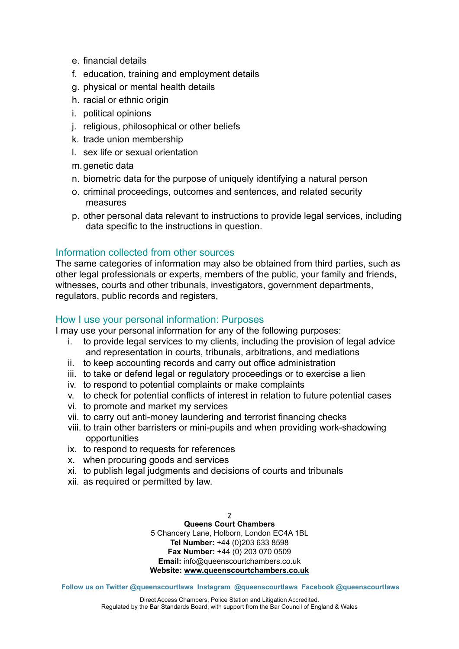- e. financial details
- f. education, training and employment details
- g. physical or mental health details
- h. racial or ethnic origin
- i. political opinions
- j. religious, philosophical or other beliefs
- k. trade union membership
- l. sex life or sexual orientation
- m. genetic data
- n. biometric data for the purpose of uniquely identifying a natural person
- o. criminal proceedings, outcomes and sentences, and related security measures
- p. other personal data relevant to instructions to provide legal services, including data specific to the instructions in question.

# Information collected from other sources

The same categories of information may also be obtained from third parties, such as other legal professionals or experts, members of the public, your family and friends, witnesses, courts and other tribunals, investigators, government departments, regulators, public records and registers,

# How I use your personal information: Purposes

I may use your personal information for any of the following purposes:

- i. to provide legal services to my clients, including the provision of legal advice and representation in courts, tribunals, arbitrations, and mediations
- ii. to keep accounting records and carry out office administration
- iii. to take or defend legal or regulatory proceedings or to exercise a lien
- iv. to respond to potential complaints or make complaints
- v. to check for potential conflicts of interest in relation to future potential cases
- vi. to promote and market my services
- vii. to carry out anti-money laundering and terrorist financing checks
- viii. to train other barristers or mini-pupils and when providing work-shadowing opportunities
- ix. to respond to requests for references
- x. when procuring goods and services
- xi. to publish legal judgments and decisions of courts and tribunals
- xii. as required or permitted by law.

#### $\overline{\phantom{a}}$ **Queens Court Chambers**

5 Chancery Lane, Holborn, London EC4A 1BL **Tel Number:** +44 (0)203 633 8598 **Fax Number:** +44 (0) 203 070 0509 **Email:** info@queenscourtchambers.co.uk **Website: [www.queenscourtchambers.co.uk](http://www.queenscourtchambers.co.uk)**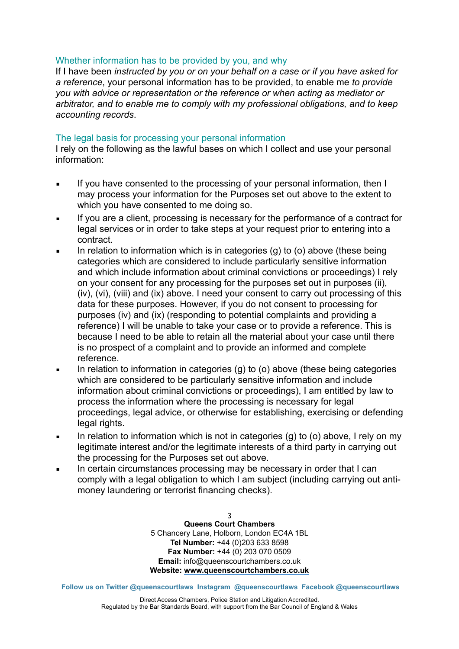# Whether information has to be provided by you, and why

If I have been *instructed by you or on your behalf on a case or if you have asked for a reference*, your personal information has to be provided, to enable me *to provide you with advice or representation or the reference or when acting as mediator or arbitrator, and to enable me to comply with my professional obligations, and to keep accounting records*.

# The legal basis for processing your personal information

I rely on the following as the lawful bases on which I collect and use your personal information:

- If you have consented to the processing of your personal information, then I may process your information for the Purposes set out above to the extent to which you have consented to me doing so.
- **EXECT** If you are a client, processing is necessary for the performance of a contract for legal services or in order to take steps at your request prior to entering into a contract.
- In relation to information which is in categories (g) to (o) above (these being categories which are considered to include particularly sensitive information and which include information about criminal convictions or proceedings) I rely on your consent for any processing for the purposes set out in purposes (ii), (iv), (vi), (viii) and (ix) above. I need your consent to carry out processing of this data for these purposes. However, if you do not consent to processing for purposes (iv) and (ix) (responding to potential complaints and providing a reference) I will be unable to take your case or to provide a reference. This is because I need to be able to retain all the material about your case until there is no prospect of a complaint and to provide an informed and complete reference.
- In relation to information in categories (g) to (o) above (these being categories which are considered to be particularly sensitive information and include information about criminal convictions or proceedings), I am entitled by law to process the information where the processing is necessary for legal proceedings, legal advice, or otherwise for establishing, exercising or defending legal rights.
- **■** In relation to information which is not in categories (g) to (o) above, I rely on my legitimate interest and/or the legitimate interests of a third party in carrying out the processing for the Purposes set out above.
- In certain circumstances processing may be necessary in order that I can comply with a legal obligation to which I am subject (including carrying out antimoney laundering or terrorist financing checks).

3 **Queens Court Chambers**  5 Chancery Lane, Holborn, London EC4A 1BL **Tel Number:** +44 (0)203 633 8598 **Fax Number:** +44 (0) 203 070 0509 **Email:** info@queenscourtchambers.co.uk **Website: [www.queenscourtchambers.co.uk](http://www.queenscourtchambers.co.uk)**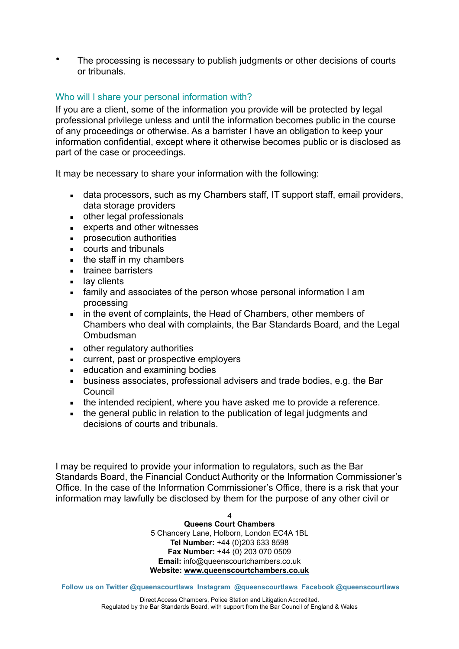• The processing is necessary to publish judgments or other decisions of courts or tribunals.

# Who will I share your personal information with?

If you are a client, some of the information you provide will be protected by legal professional privilege unless and until the information becomes public in the course of any proceedings or otherwise. As a barrister I have an obligation to keep your information confidential, except where it otherwise becomes public or is disclosed as part of the case or proceedings.

It may be necessary to share your information with the following:

- data processors, such as my Chambers staff, IT support staff, email providers, data storage providers
- other legal professionals
- experts and other witnesses
- prosecution authorities
- courts and tribunals
- the staff in my chambers
- **EXEC** trainee barristers
- lay clients
- **EXECT** family and associates of the person whose personal information I am processing
- in the event of complaints, the Head of Chambers, other members of Chambers who deal with complaints, the Bar Standards Board, and the Legal Ombudsman
- other regulatory authorities
- current, past or prospective employers
- education and examining bodies
- **EXEDEES** associates, professional advisers and trade bodies, e.g. the Bar **Council**
- the intended recipient, where you have asked me to provide a reference.
- the general public in relation to the publication of legal judgments and decisions of courts and tribunals.

I may be required to provide your information to regulators, such as the Bar Standards Board, the Financial Conduct Authority or the Information Commissioner's Office. In the case of the Information Commissioner's Office, there is a risk that your information may lawfully be disclosed by them for the purpose of any other civil or

> 4 **Queens Court Chambers**  5 Chancery Lane, Holborn, London EC4A 1BL **Tel Number:** +44 (0)203 633 8598 **Fax Number:** +44 (0) 203 070 0509 **Email:** info@queenscourtchambers.co.uk **Website: [www.queenscourtchambers.co.uk](http://www.queenscourtchambers.co.uk)**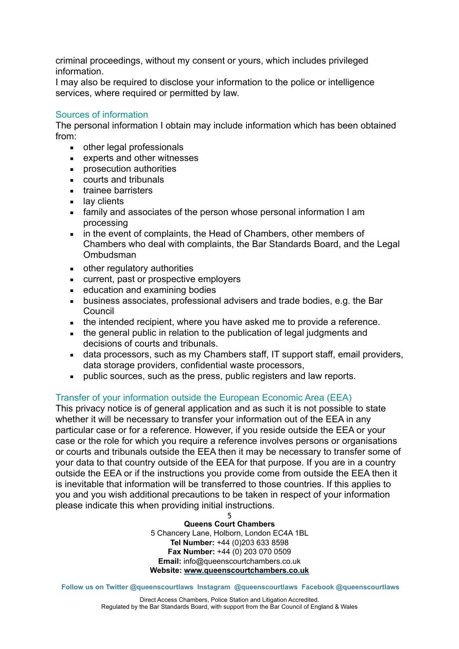criminal proceedings, without my consent or yours, which includes privileged information.

I may also be required to disclose your information to the police or intelligence services, where required or permitted by law.

# Sources of information

The personal information I obtain may include information which has been obtained from:

- other legal professionals
- experts and other witnesses
- prosecution authorities
- courts and tribunals
- **EXEC** trainee barristers
- lay clients
- **EXECT** family and associates of the person whose personal information I am processing
- in the event of complaints, the Head of Chambers, other members of Chambers who deal with complaints, the Bar Standards Board, and the Legal Ombudsman
- other regulatory authorities
- current, past or prospective employers
- education and examining bodies
- **EXECT** business associates, professional advisers and trade bodies, e.g. the Bar Council
- **EXECT** the intended recipient, where you have asked me to provide a reference.
- the general public in relation to the publication of legal judgments and decisions of courts and tribunals.
- data processors, such as my Chambers staff, IT support staff, email providers, data storage providers, confidential waste processors,
- public sources, such as the press, public registers and law reports.

# Transfer of your information outside the European Economic Area (EEA)

This privacy notice is of general application and as such it is not possible to state whether it will be necessary to transfer your information out of the EEA in any particular case or for a reference. However, if you reside outside the EEA or your case or the role for which you require a reference involves persons or organisations or courts and tribunals outside the EEA then it may be necessary to transfer some of your data to that country outside of the EEA for that purpose. If you are in a country outside the EEA or if the instructions you provide come from outside the EEA then it is inevitable that information will be transferred to those countries. If this applies to you and you wish additional precautions to be taken in respect of your information please indicate this when providing initial instructions.

> 5 **Queens Court Chambers**

5 Chancery Lane, Holborn, London EC4A 1BL **Tel Number:** +44 (0)203 633 8598 **Fax Number:** +44 (0) 203 070 0509 **Email:** info@queenscourtchambers.co.uk **Website: [www.queenscourtchambers.co.uk](http://www.queenscourtchambers.co.uk)**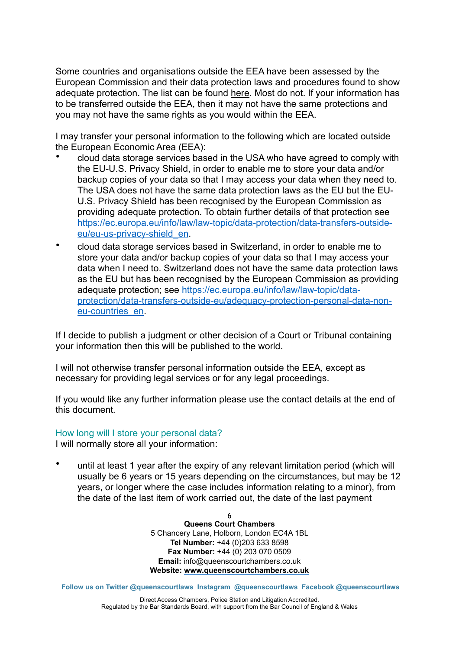Some countries and organisations outside the EEA have been assessed by the European Commission and their data protection laws and procedures found to show adequate protection. The list can be found [here](https://ec.europa.eu/info/law/law-topic/data-protection/data-transfers-outside-eu/adequacy-protection-personal-data-non-eu-countries_en#dataprotectionincountriesoutsidetheeu). Most do not. If your information has to be transferred outside the EEA, then it may not have the same protections and you may not have the same rights as you would within the EEA.

I may transfer your personal information to the following which are located outside the European Economic Area (EEA):

- cloud data storage services based in the USA who have agreed to comply with the EU-U.S. Privacy Shield, in order to enable me to store your data and/or backup copies of your data so that I may access your data when they need to. The USA does not have the same data protection laws as the EU but the EU-U.S. Privacy Shield has been recognised by the European Commission as providing adequate protection. To obtain further details of that protection see [https://ec.europa.eu/info/law/law-topic/data-protection/data-transfers-outside](https://ec.europa.eu/info/law/law-topic/data-protection/data-transfers-outside-eu/eu-us-privacy-shield_en)[eu/eu-us-privacy-shield\\_en](https://ec.europa.eu/info/law/law-topic/data-protection/data-transfers-outside-eu/eu-us-privacy-shield_en).
- cloud data storage services based in Switzerland, in order to enable me to store your data and/or backup copies of your data so that I may access your data when I need to. Switzerland does not have the same data protection laws as the EU but has been recognised by the European Commission as providing adequate protection; see [https://ec.europa.eu/info/law/law-topic/data](https://ec.europa.eu/info/law/law-topic/data-protection/data-transfers-outside-eu/adequacy-protection-personal-data-non-eu-countries_en)[protection/data-transfers-outside-eu/adequacy-protection-personal-data-non](https://ec.europa.eu/info/law/law-topic/data-protection/data-transfers-outside-eu/adequacy-protection-personal-data-non-eu-countries_en)[eu-countries\\_en](https://ec.europa.eu/info/law/law-topic/data-protection/data-transfers-outside-eu/adequacy-protection-personal-data-non-eu-countries_en).

If I decide to publish a judgment or other decision of a Court or Tribunal containing your information then this will be published to the world.

I will not otherwise transfer personal information outside the EEA, except as necessary for providing legal services or for any legal proceedings.

If you would like any further information please use the contact details at the end of this document*.*

## How long will I store your personal data?

I will normally store all your information:

• until at least 1 year after the expiry of any relevant limitation period (which will usually be 6 years or 15 years depending on the circumstances, but may be 12 years, or longer where the case includes information relating to a minor), from the date of the last item of work carried out, the date of the last payment

> 6 **Queens Court Chambers**  5 Chancery Lane, Holborn, London EC4A 1BL **Tel Number:** +44 (0)203 633 8598 **Fax Number:** +44 (0) 203 070 0509 **Email:** info@queenscourtchambers.co.uk **Website: [www.queenscourtchambers.co.uk](http://www.queenscourtchambers.co.uk)**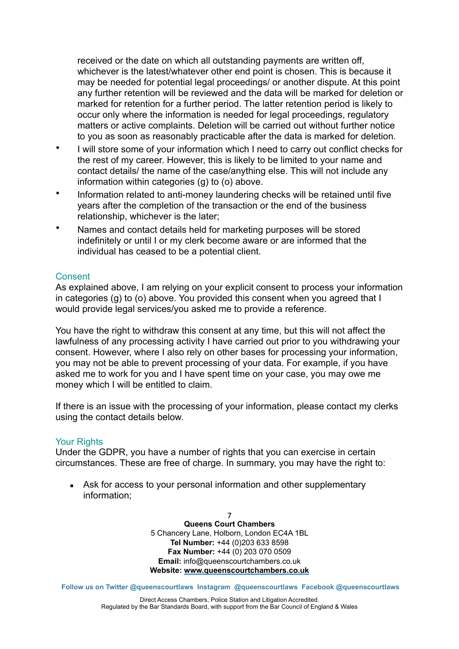received or the date on which all outstanding payments are written off, whichever is the latest/whatever other end point is chosen. This is because it may be needed for potential legal proceedings/ or another dispute. At this point any further retention will be reviewed and the data will be marked for deletion or marked for retention for a further period. The latter retention period is likely to occur only where the information is needed for legal proceedings, regulatory matters or active complaints. Deletion will be carried out without further notice to you as soon as reasonably practicable after the data is marked for deletion.

- I will store some of your information which I need to carry out conflict checks for the rest of my career. However, this is likely to be limited to your name and contact details/ the name of the case/anything else. This will not include any information within categories (g) to (o) above.
- Information related to anti-money laundering checks will be retained until five years after the completion of the transaction or the end of the business relationship, whichever is the later;
- Names and contact details held for marketing purposes will be stored indefinitely or until I or my clerk become aware or are informed that the individual has ceased to be a potential client.

# Consent

As explained above, I am relying on your explicit consent to process your information in categories (g) to (o) above. You provided this consent when you agreed that I would provide legal services/you asked me to provide a reference.

You have the right to withdraw this consent at any time, but this will not affect the lawfulness of any processing activity I have carried out prior to you withdrawing your consent. However, where I also rely on other bases for processing your information, you may not be able to prevent processing of your data. For example, if you have asked me to work for you and I have spent time on your case, you may owe me money which I will be entitled to claim.

If there is an issue with the processing of your information, please contact my clerks using the contact details below.

## Your Rights

Under the GDPR, you have a number of rights that you can exercise in certain circumstances. These are free of charge. In summary, you may have the right to:

• Ask for access to your personal information and other supplementary information;

> 7 **Queens Court Chambers**  5 Chancery Lane, Holborn, London EC4A 1BL **Tel Number:** +44 (0)203 633 8598 **Fax Number:** +44 (0) 203 070 0509 **Email:** info@queenscourtchambers.co.uk **Website: [www.queenscourtchambers.co.uk](http://www.queenscourtchambers.co.uk)**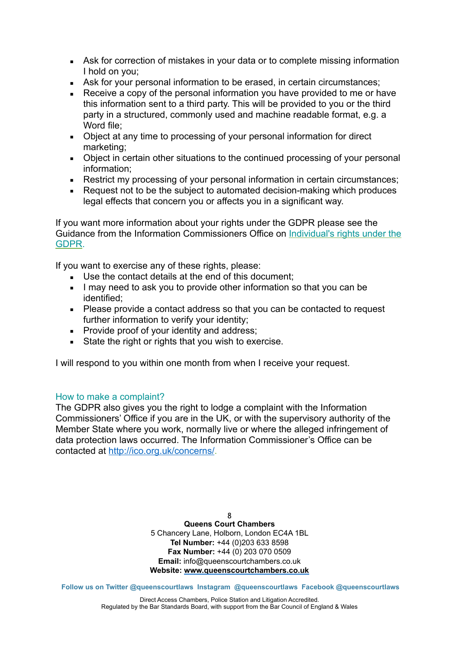- Ask for correction of mistakes in your data or to complete missing information I hold on you;
- Ask for your personal information to be erased, in certain circumstances;
- Receive a copy of the personal information you have provided to me or have this information sent to a third party. This will be provided to you or the third party in a structured, commonly used and machine readable format, e.g. a Word file:
- Object at any time to processing of your personal information for direct marketing;
- Object in certain other situations to the continued processing of your personal information;
- Restrict my processing of your personal information in certain circumstances;
- Request not to be the subject to automated decision-making which produces legal effects that concern you or affects you in a significant way.

If you want more information about your rights under the GDPR please see the Guidance from the Information Commissioners Office on [Individual's rights under the](http://ico.org.uk/for-organisations/guide-to-the-general-data-protection-regulation-gdpr/individual-rights/)  [GDPR.](http://ico.org.uk/for-organisations/guide-to-the-general-data-protection-regulation-gdpr/individual-rights/)

If you want to exercise any of these rights, please:

- Use the contact details at the end of this document:
- **I** may need to ask you to provide other information so that you can be identified;
- Please provide a contact address so that you can be contacted to request further information to verify your identity;
- Provide proof of your identity and address;
- State the right or rights that you wish to exercise.

I will respond to you within one month from when I receive your request.

## How to make a complaint?

The GDPR also gives you the right to lodge a complaint with the Information Commissioners' Office if you are in the UK, or with the supervisory authority of the Member State where you work, normally live or where the alleged infringement of data protection laws occurred. The Information Commissioner's Office can be contacted at <http://ico.org.uk/concerns/>.

> 8 **Queens Court Chambers**  5 Chancery Lane, Holborn, London EC4A 1BL **Tel Number:** +44 (0)203 633 8598 **Fax Number:** +44 (0) 203 070 0509 **Email:** info@queenscourtchambers.co.uk **Website: [www.queenscourtchambers.co.uk](http://www.queenscourtchambers.co.uk)**